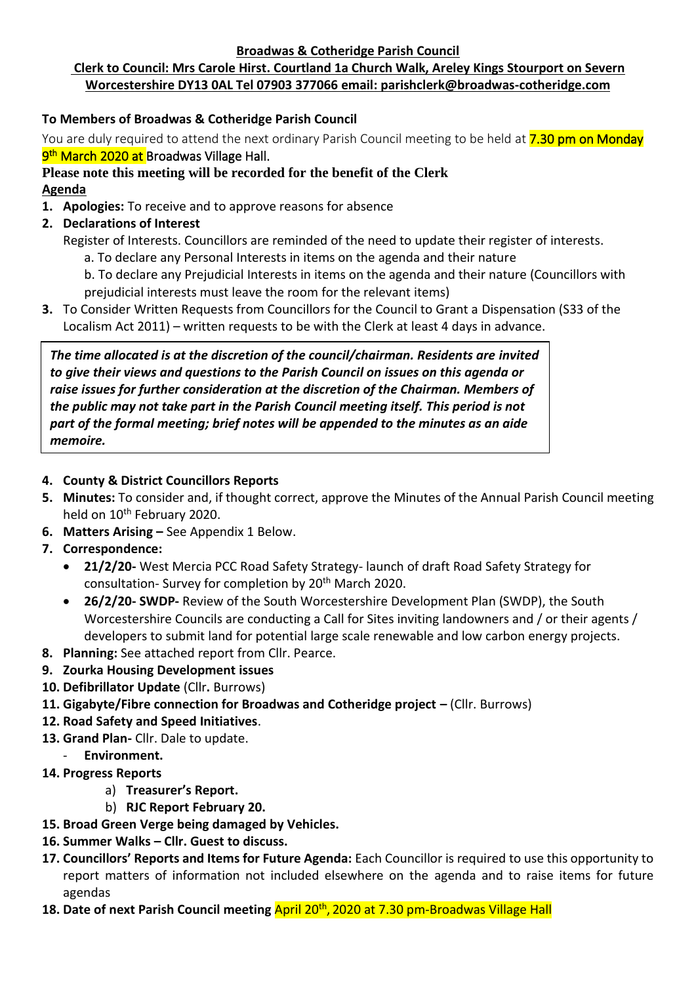#### **Broadwas & Cotheridge Parish Council**

# **Clerk to Council: Mrs Carole Hirst. Courtland 1a Church Walk, Areley Kings Stourport on Severn Worcestershire DY13 0AL Tel 07903 377066 email: parishclerk@broadwas-cotheridge.com**

## **To Members of Broadwas & Cotheridge Parish Council**

You are duly required to attend the next ordinary Parish Council meeting to be held at **7.30 pm on Monday** <mark>9<sup>th</sup> March 2020 at </mark>Broadwas Village Hall.

# **Please note this meeting will be recorded for the benefit of the Clerk Agenda**

- **1. Apologies:** To receive and to approve reasons for absence
- **2. Declarations of Interest**
	- Register of Interests. Councillors are reminded of the need to update their register of interests.
		- a. To declare any Personal Interests in items on the agenda and their nature
		- b. To declare any Prejudicial Interests in items on the agenda and their nature (Councillors with prejudicial interests must leave the room for the relevant items)
- **3.** To Consider Written Requests from Councillors for the Council to Grant a Dispensation (S33 of the Localism Act 2011) – written requests to be with the Clerk at least 4 days in advance.

*The time allocated is at the discretion of the council/chairman. Residents are invited to give their views and questions to the Parish Council on issues on this agenda or raise issues for further consideration at the discretion of the Chairman. Members of the public may not take part in the Parish Council meeting itself. This period is not part of the formal meeting; brief notes will be appended to the minutes as an aide memoire.*

#### **4. County & District Councillors Reports**

- **5. Minutes:** To consider and, if thought correct, approve the Minutes of the Annual Parish Council meeting held on 10<sup>th</sup> February 2020.
- **6. Matters Arising –** See Appendix 1 Below.
- **7. Correspondence:**
	- **21/2/20-** West Mercia PCC Road Safety Strategy- launch of draft Road Safety Strategy for consultation- Survey for completion by 20th March 2020.
	- **26/2/20- SWDP-** Review of the South Worcestershire Development Plan (SWDP), the South Worcestershire Councils are conducting a Call for Sites inviting landowners and / or their agents / developers to submit land for potential large scale renewable and low carbon energy projects.
- **8. Planning:** See attached report from Cllr. Pearce.
- **9. Zourka Housing Development issues**
- **10. Defibrillator Update** (Cllr**.** Burrows)
- **11. Gigabyte/Fibre connection for Broadwas and Cotheridge project –** (Cllr. Burrows)
- **12. Road Safety and Speed Initiatives**.
- **13. Grand Plan-** Cllr. Dale to update.
	- **Environment.**
- **14. Progress Reports**
	- a) **Treasurer's Report.**
	- b) **RJC Report February 20.**
- **15. Broad Green Verge being damaged by Vehicles.**
- **16. Summer Walks – Cllr. Guest to discuss.**
- **17. Councillors' Reports and Items for Future Agenda:** Each Councillor is required to use this opportunity to report matters of information not included elsewhere on the agenda and to raise items for future agendas
- **18. Date of next Parish Council meeting** April 20th , 2020 at 7.30 pm-Broadwas Village Hall